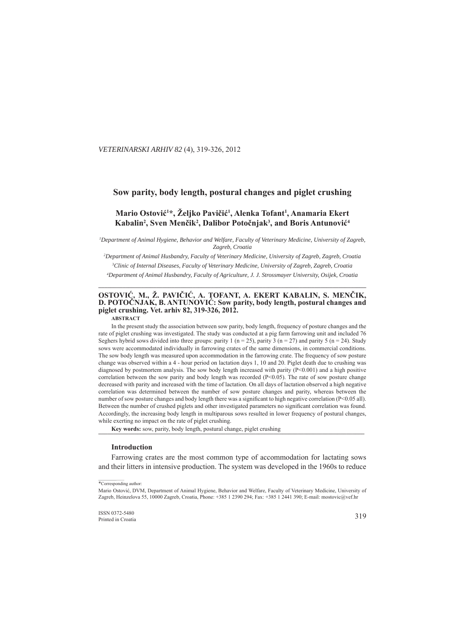### . *VETERINARSKI ARHIV 82* (4), 319-326, 2012

# **Sow parity, body length, postural changes and piglet crushing ow**

# **Mario Ostović<sup>1\*</sup>, Željko Pavičić<sup>1</sup>, Alenka Tofant<sup>1</sup>, Anamaria Ekert Kabalin<sup>2</sup>, Sven Menčik<sup>2</sup>, Dalibor Potočnjak<sup>3</sup>, and Boris Antunović<sup>4</sup>**

<sup>*I*</sup> Department of Animal Hygiene, Behavior and Welfare, Faculty of Veterinary Medicine, University of Zagreb, *Zagreb, Croatia agreb,* 

*2 Department of Animal Husbandry, Faculty of Veterinary Medicine, University of Zagreb, Zagreb, Croatia epartment of Zagreb, 3 Clinic of Internal Diseases, Faculty of Veterinary Medicine, University of Zagreb, Zagreb, Croatia linic of Internal Diseases,* 

*4 Department of Animal Husbandry, Faculty of Agriculture, J. J. Strossmayer University, Osijek, Croatia epartment*  **\_\_\_\_\_\_\_\_\_\_\_\_\_\_\_\_\_\_\_\_\_\_\_\_\_\_\_\_\_\_\_\_\_\_\_\_\_\_\_\_\_\_\_\_\_\_\_\_\_\_\_\_\_\_\_\_\_\_\_\_\_\_\_\_\_\_\_\_\_\_\_\_\_\_\_\_\_\_\_\_\_\_\_\_\_\_\_\_ \_\_\_\_\_\_\_\_\_\_\_\_\_\_\_\_\_\_\_\_\_\_\_\_\_\_\_\_\_\_\_\_\_\_\_\_\_\_\_\_\_\_\_\_\_\_\_\_\_\_\_\_\_\_\_\_\_\_\_\_\_\_\_\_\_\_\_\_\_\_\_\_\_\_\_\_\_\_\_\_\_\_\_\_\_\_\_**

# **OSTOVIĆ**, M., Ž. PAVIČIĆ, A. TOFANT, A. EKERT KABALIN, S. MENČIK, **D. POTOČNJAK, B. ANTUNOVIĆ**: Sow parity, body length, postural changes and **piglet crushing. Vet. arhiv 82, 319-326, 2012.**

**ABSTRACT**

In the present study the association between sow parity, body length, frequency of posture changes and the rate of piglet crushing was investigated. The study was conducted at a pig farm farrowing unit and included 76 Seghers hybrid sows divided into three groups: parity 1 ( $n = 25$ ), parity 3 ( $n = 27$ ) and parity 5 ( $n = 24$ ). Study sows were accommodated individually in farrowing crates of the same dimensions, in commercial conditions. The sow body length was measured upon accommodation in the farrowing crate. The frequency of sow posture change was observed within a 4 - hour period on lactation days 1, 10 and 20. Piglet death due to crushing was diagnosed by postmortem analysis. The sow body length increased with parity (P<0.001) and a high positive correlation between the sow parity and body length was recorded (P<0.05). The rate of sow posture change decreased with parity and increased with the time of lactation. On all days of lactation observed a high negative correlation was determined between the number of sow posture changes and parity, whereas between the number of sow posture changes and body length there was a significant to high negative correlation (P<0.05 all). Between the number of crushed piglets and other investigated parameters no significant correlation was found. Accordingly, the increasing body length in multiparous sows resulted in lower frequency of postural changes, while exerting no impact on the rate of piglet crushing.

Key words: sow, parity, body length, postural change, piglet crushing

#### **Introduction**

Farrowing crates are the most common type of accommodation for lactating sows and their litters in intensive production. The system was developed in the 1960s to reduce

<sup>\*</sup>Corresponding author:

Mario Ostović, DVM, Department of Animal Hygiene, Behavior and Welfare, Faculty of Veterinary Medicine, University of Zagreb, Heinzelova 55, 10000 Zagreb, Croatia, Phone: +385 1 2390 294; Fax: +385 1 2441 390; E-mail: mostovic@vef.hr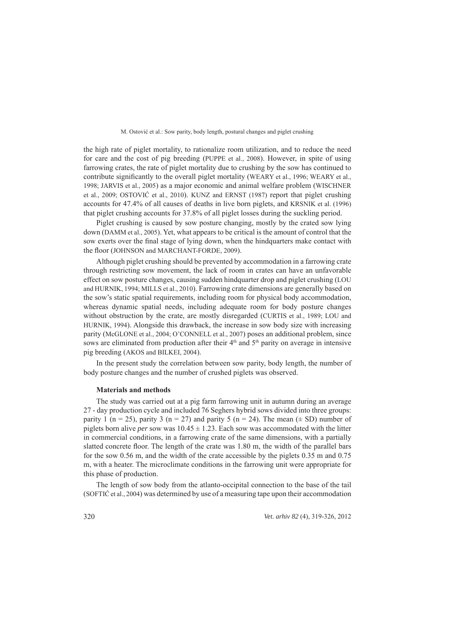the high rate of piglet mortality, to rationalize room utilization, and to reduce the need for care and the cost of pig breeding (PUPPE et al., 2008). However, in spite of using farrowing crates, the rate of piglet mortality due to crushing by the sow has continued to contribute significantly to the overall piglet mortality (WEARY et al., 1996; WEARY et al., 1998; JARVIS et al., 2005) as a major economic and animal welfare problem (WISCHNER et al., 2009; OSTOVIĆ et al., 2010). KUNZ and ERNST (1987) report that piglet crushing accounts for 47.4% of all causes of deaths in live born piglets, and KRSNIK et al. (1996) that piglet crushing accounts for 37.8% of all piglet losses during the suckling period.

Piglet crushing is caused by sow posture changing, mostly by the crated sow lying down (DAMM et al., 2005). Yet, what appears to be critical is the amount of control that the sow exerts over the final stage of lying down, when the hindquarters make contact with the floor (JOHNSON and MARCHANT-FORDE, 2009).

Although piglet crushing should be prevented by accommodation in a farrowing crate through restricting sow movement, the lack of room in crates can have an unfavorable effect on sow posture changes, causing sudden hindquarter drop and piglet crushing (LOU and HURNIK, 1994; MILLS et al., 2010). Farrowing crate dimensions are generally based on the sow's static spatial requirements, including room for physical body accommodation, whereas dynamic spatial needs, including adequate room for body posture changes without obstruction by the crate, are mostly disregarded (CURTIS et al., 1989; LOU and HURNIK, 1994). Alongside this drawback, the increase in sow body size with increasing parity (McGLONE et al., 2004; O'CONNELL et al., 2007) poses an additional problem, since sows are eliminated from production after their  $4<sup>th</sup>$  and  $5<sup>th</sup>$  parity on average in intensive pig breeding (AKOS and BILKEI, 2004).

In the present study the correlation between sow parity, body length, the number of body posture changes and the number of crushed piglets was observed.

#### **Materials and methods**

The study was carried out at a pig farm farrowing unit in autumn during an average 27 - day production cycle and included 76 Seghers hybrid sows divided into three groups: parity 1 (n = 25), parity 3 (n = 27) and parity 5 (n = 24). The mean  $(\pm SD)$  number of piglets born alive *per* sow was  $10.45 \pm 1.23$ . Each sow was accommodated with the litter in commercial conditions, in a farrowing crate of the same dimensions, with a partially slatted concrete floor. The length of the crate was  $1.80 \text{ m}$ , the width of the parallel bars for the sow 0.56 m, and the width of the crate accessible by the piglets 0.35 m and 0.75 m, with a heater. The microclimate conditions in the farrowing unit were appropriate for this phase of production.

The length of sow body from the atlanto-occipital connection to the base of the tail (SOFTIĆ et al., 2004) was determined by use of a measuring tape upon their accommodation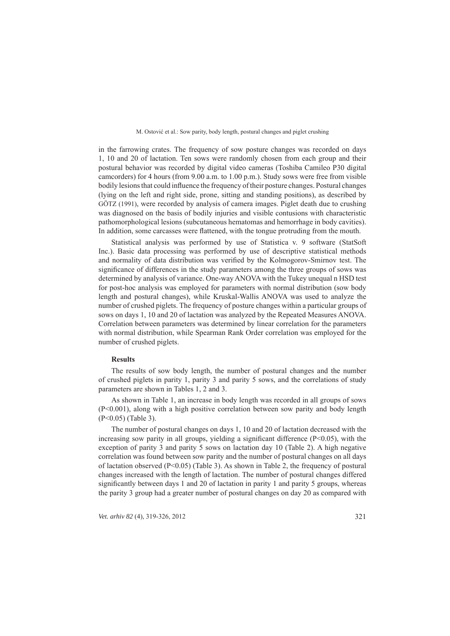in the farrowing crates. The frequency of sow posture changes was recorded on days 1, 10 and 20 of lactation. Ten sows were randomly chosen from each group and their postural behavior was recorded by digital video cameras (Toshiba Camileo P30 digital camcorders) for 4 hours (from 9.00 a.m. to 1.00 p.m.). Study sows were free from visible bodily lesions that could influence the frequency of their posture changes. Postural changes (lying on the left and right side, prone, sitting and standing positions), as described by GÖTZ (1991), were recorded by analysis of camera images. Piglet death due to crushing was diagnosed on the basis of bodily injuries and visible contusions with characteristic pathomorphological lesions (subcutaneous hematomas and hemorrhage in body cavities). In addition, some carcasses were flattened, with the tongue protruding from the mouth.

Statistical analysis was performed by use of Statistica v. 9 software (StatSoft Inc.). Basic data processing was performed by use of descriptive statistical methods and normality of data distribution was verified by the Kolmogorov-Smirnov test. The significance of differences in the study parameters among the three groups of sows was determined by analysis of variance. One-way ANOVA with the Tukey unequal n HSD test for post-hoc analysis was employed for parameters with normal distribution (sow body length and postural changes), while Kruskal-Wallis ANOVA was used to analyze the number of crushed piglets. The frequency of posture changes within a particular groups of sows on days 1, 10 and 20 of lactation was analyzed by the Repeated Measures ANOVA. Correlation between parameters was determined by linear correlation for the parameters with normal distribution, while Spearman Rank Order correlation was employed for the number of crushed piglets.

## **Results**

The results of sow body length, the number of postural changes and the number of crushed piglets in parity 1, parity 3 and parity 5 sows, and the correlations of study parameters are shown in Tables 1, 2 and 3.

As shown in Table 1, an increase in body length was recorded in all groups of sows (P<0.001), along with a high positive correlation between sow parity and body length (P<0.05) (Table 3).

The number of postural changes on days 1, 10 and 20 of lactation decreased with the increasing sow parity in all groups, yielding a significant difference  $(P<0.05)$ , with the exception of parity 3 and parity 5 sows on lactation day 10 (Table 2). A high negative correlation was found between sow parity and the number of postural changes on all days of lactation observed (P<0.05) (Table 3). As shown in Table 2, the frequency of postural changes increased with the length of lactation. The number of postural changes differed significantly between days 1 and 20 of lactation in parity 1 and parity 5 groups, whereas the parity 3 group had a greater number of postural changes on day 20 as compared with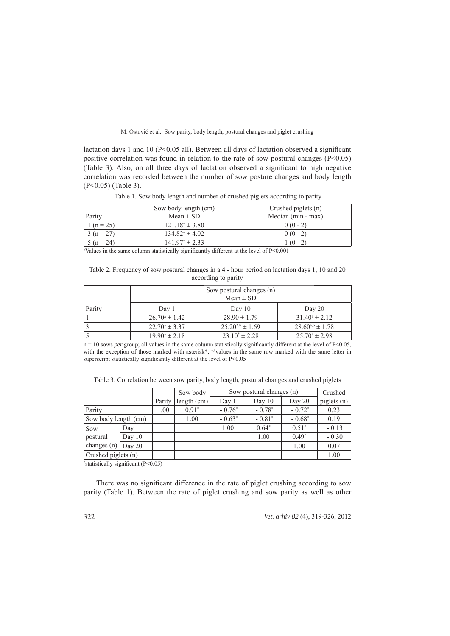lactation days 1 and 10 ( $P \le 0.05$  all). Between all days of lactation observed a significant positive correlation was found in relation to the rate of sow postural changes  $(P<0.05)$ (Table 3). Also, on all three days of lactation observed a significant to high negative correlation was recorded between the number of sow posture changes and body length (P<0.05) (Table 3).

|                | Sow body length (cm) | Crushed piglets (n) |
|----------------|----------------------|---------------------|
| Parity         | Mean $\pm$ SD        | Median (min - max)  |
| 1 ( $n = 25$ ) | $121.18^* \pm 3.80$  | $0(0-2)$            |
| $3(n=27)$      | $134.82^* \pm 4.02$  | $0(0-2)$            |
| $5(n=24)$      | $141.97^* \pm 2.33$  | $1(0-2)$            |

Table 1. Sow body length and number of crushed piglets according to parity

∗ Values in the same column statistically signifi cantly different at the level of P<0.001

Table 2. Frequency of sow postural changes in a 4 - hour period on lactation days 1, 10 and 20 according to parity

|        | Sow postural changes (n) |                       |                          |  |  |  |
|--------|--------------------------|-----------------------|--------------------------|--|--|--|
|        | Mean $\pm$ SD            |                       |                          |  |  |  |
| Parity | Day 1                    | Day $10$              | Day 20                   |  |  |  |
|        | $26.70^{\circ} \pm 1.42$ | $28.90 \pm 1.79$      | $31.40^{\circ} \pm 2.12$ |  |  |  |
|        | $22.70^{\circ} \pm 3.37$ | $25.20^{*b} \pm 1.69$ | $28.60^{a,b} \pm 1.78$   |  |  |  |
|        | $19.90^{\circ} \pm 2.18$ | $23.10^* \pm 2.28$    | $25.70^{\circ} \pm 2.98$ |  |  |  |

 $n = 10$  sows *per* group; all values in the same column statistically significantly different at the level of P<0.05, with the exception of those marked with asterisk\*; a,bvalues in the same row marked with the same letter in superscript statistically significantly different at the level of P<0.05

|                      |          |        | Sow body    |          | Sow postural changes (n) |          | Crushed       |
|----------------------|----------|--------|-------------|----------|--------------------------|----------|---------------|
|                      |          | Parity | length (cm) | Day 1    | Day $10$                 | Day 20   | piglets $(n)$ |
| Parity               |          | 1.00   | $0.91*$     | $-0.76*$ | $-0.78*$                 | $-0.72*$ | 0.23          |
| Sow body length (cm) |          |        | 1.00        | $-0.63*$ | $-0.81*$                 | $-0.68*$ | 0.19          |
| Sow                  | Day 1    |        |             | 1.00     | $0.64*$                  | $0.51*$  | $-0.13$       |
| postural             | Day $10$ |        |             |          | 1.00                     | $0.49*$  | $-0.30$       |
| changes $(n)$        | Day 20   |        |             |          |                          | 1.00     | 0.07          |
| Crushed piglets (n)  |          |        |             |          |                          |          | 1.00          |

\*statistically significant (P<0.05)

There was no significant difference in the rate of piglet crushing according to sow parity (Table 1). Between the rate of piglet crushing and sow parity as well as other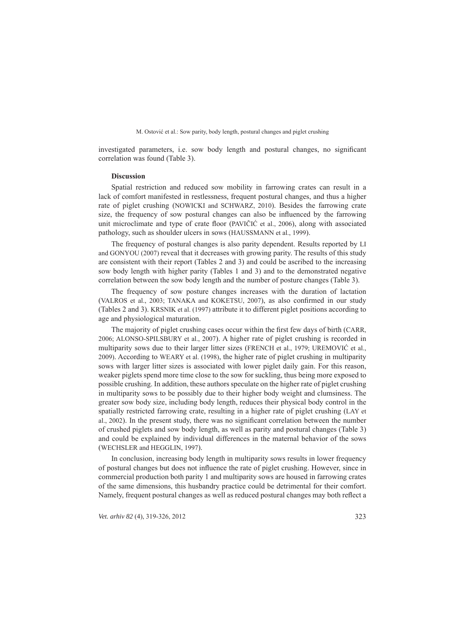investigated parameters, i.e. sow body length and postural changes, no significant correlation was found (Table 3).

### **Discussion**

Spatial restriction and reduced sow mobility in farrowing crates can result in a lack of comfort manifested in restlessness, frequent postural changes, and thus a higher rate of piglet crushing (NOWICKI and SCHWARZ, 2010). Besides the farrowing crate size, the frequency of sow postural changes can also be influenced by the farrowing unit microclimate and type of crate floor (PAVIČIĆ et al., 2006), along with associated pathology, such as shoulder ulcers in sows (HAUSSMANN et al., 1999).

The frequency of postural changes is also parity dependent. Results reported by LI and GONYOU (2007) reveal that it decreases with growing parity. The results of this study are consistent with their report (Tables 2 and 3) and could be ascribed to the increasing sow body length with higher parity (Tables 1 and 3) and to the demonstrated negative correlation between the sow body length and the number of posture changes (Table 3).

The frequency of sow posture changes increases with the duration of lactation (VALROS et al., 2003; TANAKA and KOKETSU, 2007), as also confirmed in our study (Tables 2 and 3). KRSNIK et al. (1997) attribute it to different piglet positions according to age and physiological maturation.

The majority of piglet crushing cases occur within the first few days of birth (CARR, 2006; ALONSO-SPILSBURY et al., 2007). A higher rate of piglet crushing is recorded in multiparity sows due to their larger litter sizes (FRENCH et al., 1979; UREMOVIĆ et al., 2009). According to WEARY et al. (1998), the higher rate of piglet crushing in multiparity sows with larger litter sizes is associated with lower piglet daily gain. For this reason, weaker piglets spend more time close to the sow for suckling, thus being more exposed to possible crushing. In addition, these authors speculate on the higher rate of piglet crushing in multiparity sows to be possibly due to their higher body weight and clumsiness. The greater sow body size, including body length, reduces their physical body control in the spatially restricted farrowing crate, resulting in a higher rate of piglet crushing (LAY et al., 2002). In the present study, there was no significant correlation between the number of crushed piglets and sow body length, as well as parity and postural changes (Table 3) and could be explained by individual differences in the maternal behavior of the sows (WECHSLER and HEGGLIN, 1997).

In conclusion, increasing body length in multiparity sows results in lower frequency of postural changes but does not infl uence the rate of piglet crushing. However, since in commercial production both parity 1 and multiparity sows are housed in farrowing crates of the same dimensions, this husbandry practice could be detrimental for their comfort. Namely, frequent postural changes as well as reduced postural changes may both reflect a

*Vet. arhiv 82* (4), 319-326, 2012 323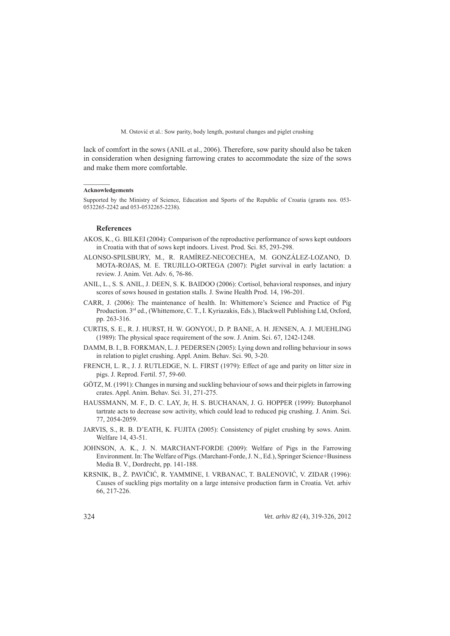lack of comfort in the sows (ANIL et al., 2006). Therefore, sow parity should also be taken in consideration when designing farrowing crates to accommodate the size of the sows and make them more comfortable.

#### **Acknowledgements**

 $\mathcal{L}=\mathcal{L}$ 

Supported by the Ministry of Science, Education and Sports of the Republic of Croatia (grants nos. 053- 0532265-2242 and 053-0532265-2238).

## **References**

- AKOS, K., G. BILKEI (2004): Comparison of the reproductive performance of sows kept outdoors in Croatia with that of sows kept indoors. Livest. Prod. Sci. 85, 293-298.
- ALONSO-SPILSBURY, M., R. RAMÍREZ-NECOECHEA, M. GONZÁLEZ-LOZANO, D. MOTA-ROJAS, M. E. TRUJILLO-ORTEGA (2007): Piglet survival in early lactation: a review. J. Anim. Vet. Adv. 6, 76-86.
- ANIL, L., S. S. ANIL, J. DEEN, S. K. BAIDOO (2006): Cortisol, behavioral responses, and injury scores of sows housed in gestation stalls. J. Swine Health Prod. 14, 196-201.
- CARR, J. (2006): The maintenance of health. In: Whittemore's Science and Practice of Pig Production. 3rd ed., (Whittemore, C. T., I. Kyriazakis, Eds.), Blackwell Publishing Ltd, Oxford, pp. 263-316.
- CURTIS, S. E., R. J. HURST, H. W. GONYOU, D. P. BANE, A. H. JENSEN, A. J. MUEHLING (1989): The physical space requirement of the sow. J. Anim. Sci. 67, 1242-1248.
- DAMM, B. I., B. FORKMAN, L. J. PEDERSEN (2005): Lying down and rolling behaviour in sows in relation to piglet crushing. Appl. Anim. Behav. Sci. 90, 3-20.
- FRENCH, L. R., J. J. RUTLEDGE, N. L. FIRST (1979): Effect of age and parity on litter size in pigs. J. Reprod. Fertil. 57, 59-60.
- GÖTZ, M. (1991): Changes in nursing and suckling behaviour of sows and their piglets in farrowing crates. Appl. Anim. Behav. Sci. 31, 271-275.
- HAUSSMANN, M. F., D. C. LAY, Jr, H. S. BUCHANAN, J. G. HOPPER (1999): Butorphanol tartrate acts to decrease sow activity, which could lead to reduced pig crushing. J. Anim. Sci. 77, 2054-2059.
- JARVIS, S., R. B. D'EATH, K. FUJITA (2005): Consistency of piglet crushing by sows. Anim. Welfare 14, 43-51.
- JOHNSON, A. K., J. N. MARCHANT-FORDE (2009): Welfare of Pigs in the Farrowing Environment. In: The Welfare of Pigs. (Marchant-Forde, J. N., Ed.), Springer Science+Business Media B. V., Dordrecht, pp. 141-188.
- KRSNIK, B., Ž. PAVIČIĆ, R. YAMMINE, I. VRBANAC, T. BALENOVIĆ, V. ZIDAR (1996): Causes of suckling pigs mortality on a large intensive production farm in Croatia. Vet. arhiv 66, 217-226.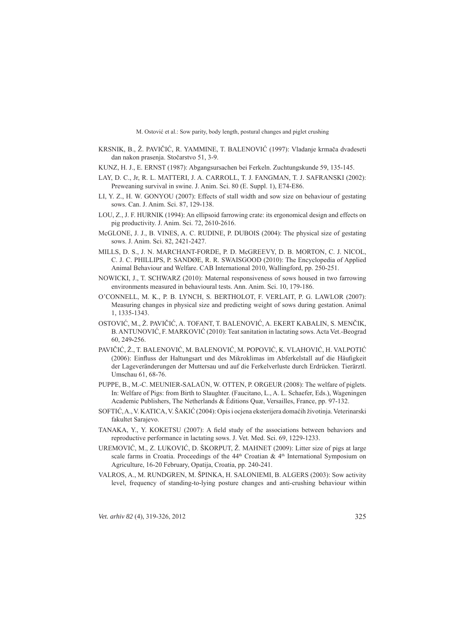- KRSNIK, B., Ž. PAVIČIĆ, R. YAMMINE, T. BALENOVIĆ (1997): Vladanje krmača dvadeseti dan nakon prasenja. Stočarstvo 51, 3-9.
- KUNZ, H. J., E. ERNST (1987): Abgangsursachen bei Ferkeln. Zuchtungskunde 59, 135-145.
- LAY, D. C., Jr, R. L. MATTERI, J. A. CARROLL, T. J. FANGMAN, T. J. SAFRANSKI (2002): Preweaning survival in swine. J. Anim. Sci. 80 (E. Suppl. 1), E74-E86.
- LI, Y. Z., H. W. GONYOU (2007): Effects of stall width and sow size on behaviour of gestating sows. Can. J. Anim. Sci. 87, 129-138.
- LOU, Z., J. F. HURNIK (1994): An ellipsoid farrowing crate: its ergonomical design and effects on pig productivity. J. Anim. Sci. 72, 2610-2616.
- McGLONE, J. J., B. VINES, A. C. RUDINE, P. DUBOIS (2004): The physical size of gestating sows. J. Anim. Sci. 82, 2421-2427.
- MILLS, D. S., J. N. MARCHANT-FORDE, P. D. McGREEVY, D. B. MORTON, C. J. NICOL, C. J. C. PHILLIPS, P. SANDØE, R. R. SWAISGOOD (2010): The Encyclopedia of Applied Animal Behaviour and Welfare. CAB International 2010, Wallingford, pp. 250-251.
- NOWICKI, J., T. SCHWARZ (2010): Maternal responsiveness of sows housed in two farrowing environments measured in behavioural tests. Ann. Anim. Sci. 10, 179-186.
- O'CONNELL, M. K., P. B. LYNCH, S. BERTHOLOT, F. VERLAIT, P. G. LAWLOR (2007): Measuring changes in physical size and predicting weight of sows during gestation. Animal 1, 1335-1343.
- OSTOVIĆ, M., Ž. PAVIČIĆ, A. TOFANT, T. BALENOVIĆ, A. EKERT KABALIN, S. MENČIK, B. ANTUNOVIĆ, F. MARKOVIĆ (2010): Teat sanitation in lactating sows. Acta Vet.-Beograd 60, 249**-**256.
- PAVIČIĆ, Ž., T. BALENOVIĆ, M. BALENOVIĆ, M. POPOVIĆ, K. VLAHOVIĆ, H. VALPOTIĆ (2006): Einfluss der Haltungsart und des Mikroklimas im Abferkelstall auf die Häufigkeit der Lageveränderungen der Muttersau und auf die Ferkelverluste durch Erdrücken. Tierärztl. Umschau 61, 68-76.
- PUPPE, B., M.-C. MEUNIER-SALAÜN, W. OTTEN, P. ORGEUR (2008): The welfare of piglets. In: Welfare of Pigs: from Birth to Slaughter. (Faucitano, L., A. L. Schaefer, Eds.), Wageningen Academic Publishers, The Netherlands & Éditions Quæ, Versailles, France, pp. 97-132.
- SOFTIĆ, A., V. KATICA, V. ŠAKIĆ (2004): Opis i ocjena eksterijera domaćih životinja. Veterinarski fakultet Sarajevo.
- TANAKA, Y., Y. KOKETSU (2007): A field study of the associations between behaviors and reproductive performance in lactating sows. J. Vet. Med. Sci. 69, 1229-1233.
- UREMOVIĆ, M., Z. LUKOVIĆ, D. ŠKORPUT, Ž. MAHNET (2009): Litter size of pigs at large scale farms in Croatia. Proceedings of the  $44<sup>th</sup>$  Croatian &  $4<sup>th</sup>$  International Symposium on Agriculture, 16-20 February, Opatija, Croatia, pp. 240-241.
- VALROS, A., M. RUNDGREN, M. ŠPINKA, H. SALONIEMI, B. ALGERS (2003): Sow activity level, frequency of standing-to-lying posture changes and anti-crushing behaviour within

*Vet. arhiv 82* (4), 319-326, 2012 325